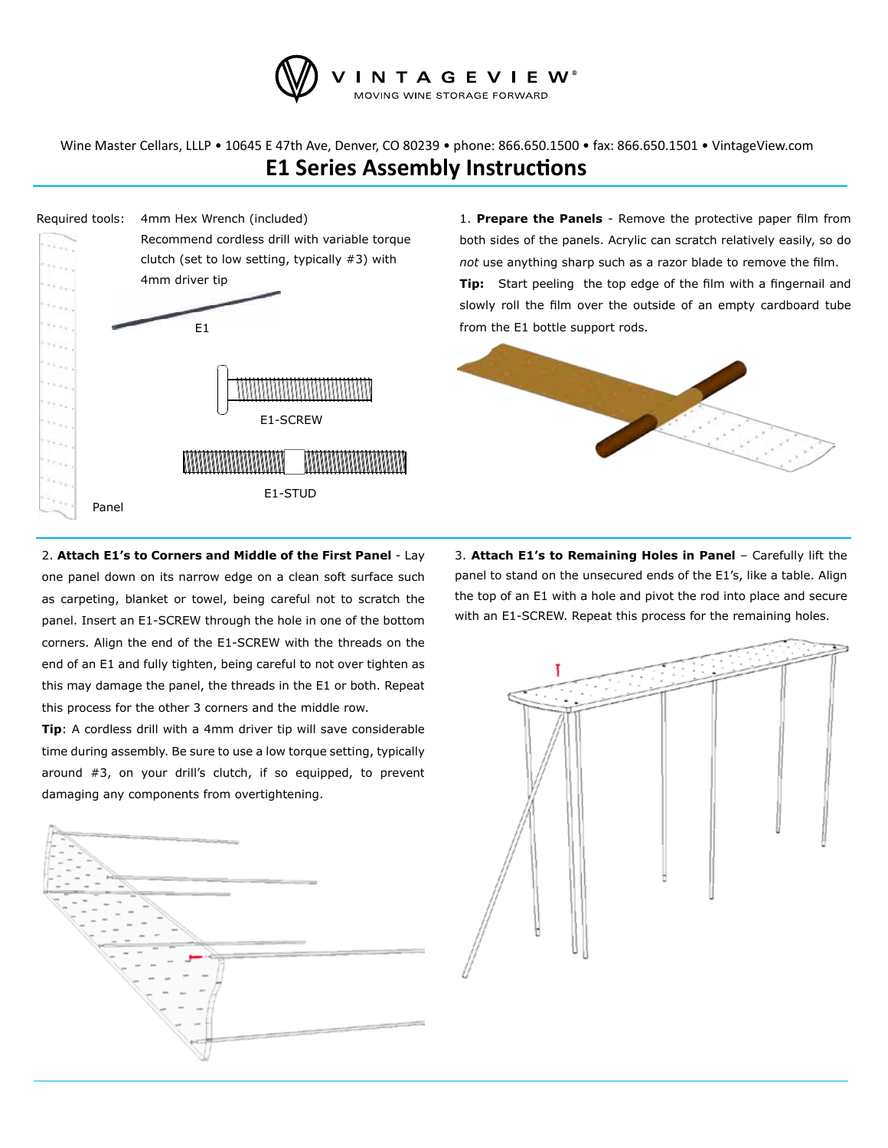

**E1 Series Assembly Instructions** Wine Master Cellars, LLLP • 10645 E 47th Ave, Denver, CO 80239 • phone: 866.650.1500 • fax: 866.650.1501 • VintageView.com



1. **Prepare the Panels** - Remove the protective paper film from both sides of the panels. Acrylic can scratch relatively easily, so do *not* use anything sharp such as a razor blade to remove the film. **Tip:** Start peeling the top edge of the film with a fingernail and slowly roll the film over the outside of an empty cardboard tube from the E1 bottle support rods.



2. **Attach E1's to Corners and Middle of the First Panel** - Lay one panel down on its narrow edge on a clean soft surface such as carpeting, blanket or towel, being careful not to scratch the panel. Insert an E1-SCREW through the hole in one of the bottom corners. Align the end of the E1-SCREW with the threads on the end of an E1 and fully tighten, being careful to not over tighten as this may damage the panel, the threads in the E1 or both. Repeat this process for the other 3 corners and the middle row.

**Tip**: A cordless drill with a 4mm driver tip will save considerable time during assembly. Be sure to use a low torque setting, typically around #3, on your drill's clutch, if so equipped, to prevent damaging any components from overtightening.



3. **Attach E1's to Remaining Holes in Panel** – Carefully lift the panel to stand on the unsecured ends of the E1's, like a table. Align the top of an E1 with a hole and pivot the rod into place and secure with an E1-SCREW. Repeat this process for the remaining holes.